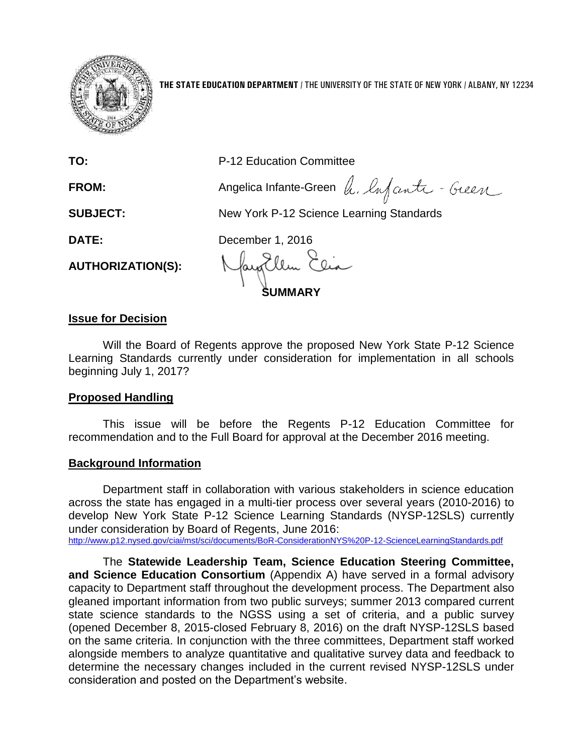

**THE STATE EDUCATION DEPARTMENT** / THE UNIVERSITY OF THE STATE OF NEW YORK / ALBANY, NY 12234

| TO:                      | P-12 Education Committee                  |
|--------------------------|-------------------------------------------|
| FROM:                    | Angelica Infante-Green A. Infanti - Gueen |
| <b>SUBJECT:</b>          | New York P-12 Science Learning Standards  |
| <b>DATE:</b>             | December 1, 2016                          |
| <b>AUTHORIZATION(S):</b> | Mayallem Elia<br><b>SUMMARY</b>           |

#### **Issue for Decision**

Will the Board of Regents approve the proposed New York State P-12 Science Learning Standards currently under consideration for implementation in all schools beginning July 1, 2017?

#### **Proposed Handling**

This issue will be before the Regents P-12 Education Committee for recommendation and to the Full Board for approval at the December 2016 meeting.

#### **Background Information**

Department staff in collaboration with various stakeholders in science education across the state has engaged in a multi-tier process over several years (2010-2016) to develop New York State P-12 Science Learning Standards (NYSP-12SLS) currently under consideration by Board of Regents, June 2016:

<http://www.p12.nysed.gov/ciai/mst/sci/documents/BoR-ConsiderationNYS%20P-12-ScienceLearningStandards.pdf>

The **Statewide Leadership Team, Science Education Steering Committee, and Science Education Consortium** (Appendix A) have served in a formal advisory capacity to Department staff throughout the development process. The Department also gleaned important information from two public surveys; summer 2013 compared current state science standards to the NGSS using a set of criteria, and a public survey (opened December 8, 2015-closed February 8, 2016) on the draft NYSP-12SLS based on the same criteria. In conjunction with the three committees, Department staff worked alongside members to analyze quantitative and qualitative survey data and feedback to determine the necessary changes included in the current revised NYSP-12SLS under consideration and posted on the Department's website.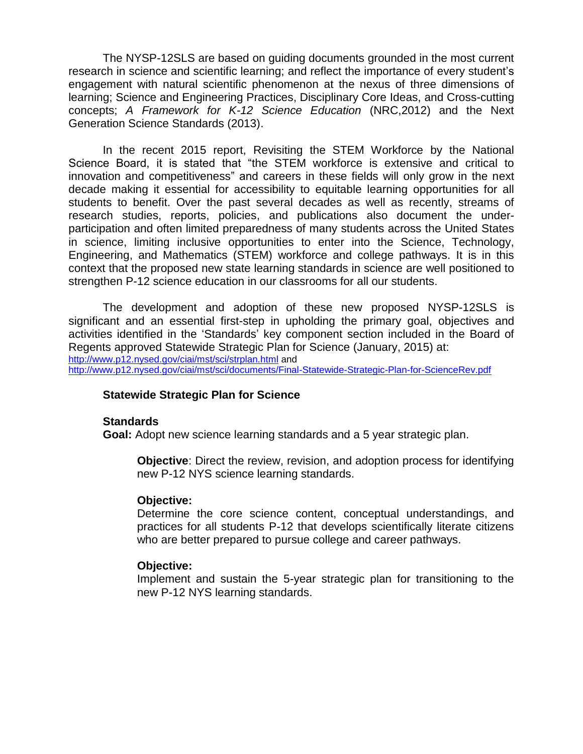The NYSP-12SLS are based on guiding documents grounded in the most current research in science and scientific learning; and reflect the importance of every student's engagement with natural scientific phenomenon at the nexus of three dimensions of learning; Science and Engineering Practices, Disciplinary Core Ideas, and Cross-cutting concepts; *A Framework for K-12 Science Education* (NRC,2012) and the Next Generation Science Standards (2013).

In the recent 2015 report, Revisiting the STEM Workforce by the National Science Board, it is stated that "the STEM workforce is extensive and critical to innovation and competitiveness" and careers in these fields will only grow in the next decade making it essential for accessibility to equitable learning opportunities for all students to benefit. Over the past several decades as well as recently, streams of research studies, reports, policies, and publications also document the underparticipation and often limited preparedness of many students across the United States in science, limiting inclusive opportunities to enter into the Science, Technology, Engineering, and Mathematics (STEM) workforce and college pathways. It is in this context that the proposed new state learning standards in science are well positioned to strengthen P-12 science education in our classrooms for all our students.

The development and adoption of these new proposed NYSP-12SLS is significant and an essential first-step in upholding the primary goal, objectives and activities identified in the 'Standards' key component section included in the Board of Regents approved Statewide Strategic Plan for Science (January, 2015) at: <http://www.p12.nysed.gov/ciai/mst/sci/strplan.html> and <http://www.p12.nysed.gov/ciai/mst/sci/documents/Final-Statewide-Strategic-Plan-for-ScienceRev.pdf>

#### **Statewide Strategic Plan for Science**

#### **Standards**

**Goal:** Adopt new science learning standards and a 5 year strategic plan.

**Objective**: Direct the review, revision, and adoption process for identifying new P-12 NYS science learning standards.

#### **Objective:**

Determine the core science content, conceptual understandings, and practices for all students P-12 that develops scientifically literate citizens who are better prepared to pursue college and career pathways.

#### **Objective:**

Implement and sustain the 5-year strategic plan for transitioning to the new P-12 NYS learning standards.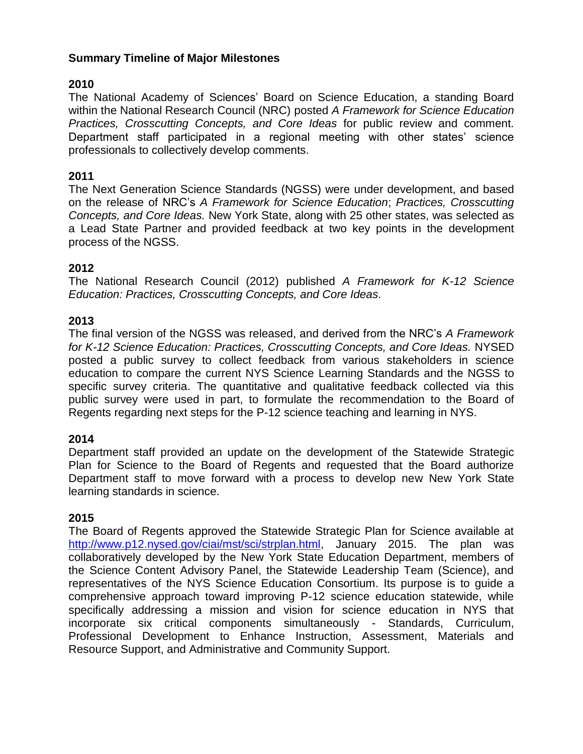## **Summary Timeline of Major Milestones**

## **2010**

The National Academy of Sciences' Board on Science Education, a standing Board within the National Research Council (NRC) posted *A Framework for Science Education Practices, Crosscutting Concepts, and Core Ideas* for public review and comment. Department staff participated in a regional meeting with other states' science professionals to collectively develop comments.

#### **2011**

The Next Generation Science Standards (NGSS) were under development, and based on the release of NRC's *A Framework for Science Education*; *Practices, Crosscutting Concepts, and Core Ideas.* New York State, along with 25 other states, was selected as a Lead State Partner and provided feedback at two key points in the development process of the NGSS.

#### **2012**

The National Research Council (2012) published *A Framework for K-12 Science Education: Practices, Crosscutting Concepts, and Core Ideas.*

#### **2013**

The final version of the NGSS was released, and derived from the NRC's *A Framework for K-12 Science Education: Practices, Crosscutting Concepts, and Core Ideas.* NYSED posted a public survey to collect feedback from various stakeholders in science education to compare the current NYS Science Learning Standards and the NGSS to specific survey criteria. The quantitative and qualitative feedback collected via this public survey were used in part, to formulate the recommendation to the Board of Regents regarding next steps for the P-12 science teaching and learning in NYS.

### **2014**

Department staff provided an update on the development of the Statewide Strategic Plan for Science to the Board of Regents and requested that the Board authorize Department staff to move forward with a process to develop new New York State learning standards in science.

### **2015**

The Board of Regents approved the Statewide Strategic Plan for Science available at [http://www.p12.nysed.gov/ciai/mst/sci/strplan.html,](http://www.p12.nysed.gov/ciai/mst/sci/strplan.html) January 2015. The plan was collaboratively developed by the New York State Education Department, members of the Science Content Advisory Panel, the Statewide Leadership Team (Science), and representatives of the NYS Science Education Consortium. Its purpose is to guide a comprehensive approach toward improving P-12 science education statewide, while specifically addressing a mission and vision for science education in NYS that incorporate six critical components simultaneously - Standards, Curriculum, Professional Development to Enhance Instruction, Assessment, Materials and Resource Support, and Administrative and Community Support.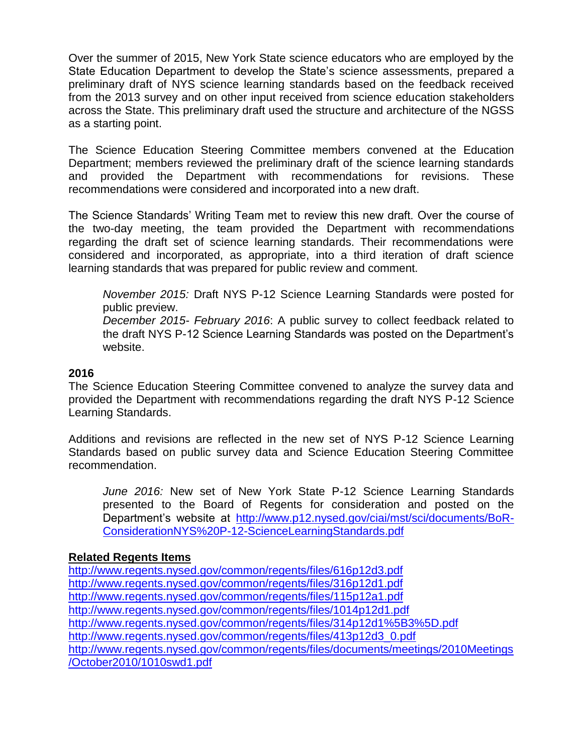Over the summer of 2015, New York State science educators who are employed by the State Education Department to develop the State's science assessments, prepared a preliminary draft of NYS science learning standards based on the feedback received from the 2013 survey and on other input received from science education stakeholders across the State. This preliminary draft used the structure and architecture of the NGSS as a starting point.

The Science Education Steering Committee members convened at the Education Department; members reviewed the preliminary draft of the science learning standards and provided the Department with recommendations for revisions. These recommendations were considered and incorporated into a new draft.

The Science Standards' Writing Team met to review this new draft. Over the course of the two-day meeting, the team provided the Department with recommendations regarding the draft set of science learning standards. Their recommendations were considered and incorporated, as appropriate, into a third iteration of draft science learning standards that was prepared for public review and comment.

*November 2015:* Draft NYS P-12 Science Learning Standards were posted for public preview.

*December 2015*- *February 2016*: A public survey to collect feedback related to the draft NYS P-12 Science Learning Standards was posted on the Department's website.

#### **2016**

The Science Education Steering Committee convened to analyze the survey data and provided the Department with recommendations regarding the draft NYS P-12 Science Learning Standards.

Additions and revisions are reflected in the new set of NYS P-12 Science Learning Standards based on public survey data and Science Education Steering Committee recommendation.

*June 2016:* New set of New York State P-12 Science Learning Standards presented to the Board of Regents for consideration and posted on the Department's website at [http://www.p12.nysed.gov/ciai/mst/sci/documents/BoR-](http://www.p12.nysed.gov/ciai/mst/sci/documents/BoR-ConsiderationNYS%20P-12-ScienceLearningStandards.pdf)[ConsiderationNYS%20P-12-ScienceLearningStandards.pdf](http://www.p12.nysed.gov/ciai/mst/sci/documents/BoR-ConsiderationNYS%20P-12-ScienceLearningStandards.pdf)

### **Related Regents Items**

<http://www.regents.nysed.gov/common/regents/files/616p12d3.pdf> <http://www.regents.nysed.gov/common/regents/files/316p12d1.pdf> <http://www.regents.nysed.gov/common/regents/files/115p12a1.pdf> <http://www.regents.nysed.gov/common/regents/files/1014p12d1.pdf> <http://www.regents.nysed.gov/common/regents/files/314p12d1%5B3%5D.pdf> [http://www.regents.nysed.gov/common/regents/files/413p12d3\\_0.pdf](http://www.regents.nysed.gov/common/regents/files/413p12d3_0.pdf) [http://www.regents.nysed.gov/common/regents/files/documents/meetings/2010Meetings](http://www.regents.nysed.gov/common/regents/files/documents/meetings/2010Meetings/October2010/1010swd1.pdf) [/October2010/1010swd1.pdf](http://www.regents.nysed.gov/common/regents/files/documents/meetings/2010Meetings/October2010/1010swd1.pdf)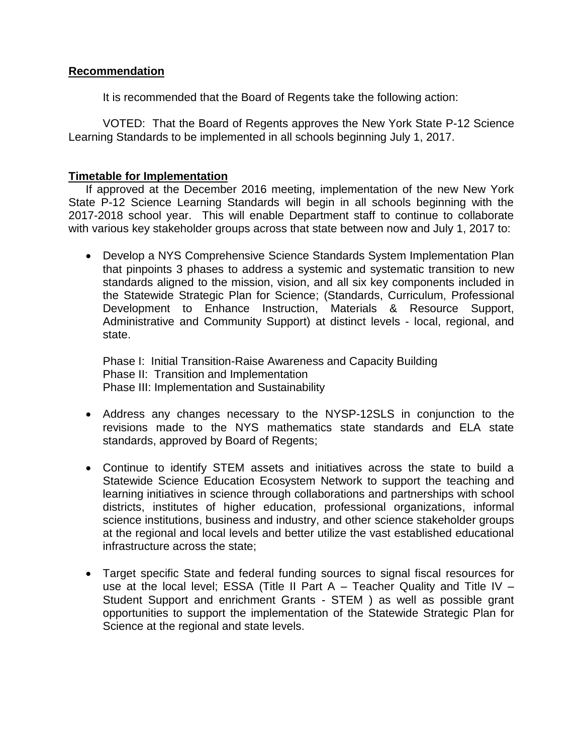### **Recommendation**

It is recommended that the Board of Regents take the following action:

VOTED: That the Board of Regents approves the New York State P-12 Science Learning Standards to be implemented in all schools beginning July 1, 2017.

### **Timetable for Implementation**

If approved at the December 2016 meeting, implementation of the new New York State P-12 Science Learning Standards will begin in all schools beginning with the 2017-2018 school year. This will enable Department staff to continue to collaborate with various key stakeholder groups across that state between now and July 1, 2017 to:

 Develop a NYS Comprehensive Science Standards System Implementation Plan that pinpoints 3 phases to address a systemic and systematic transition to new standards aligned to the mission, vision, and all six key components included in the Statewide Strategic Plan for Science; (Standards, Curriculum, Professional Development to Enhance Instruction, Materials & Resource Support, Administrative and Community Support) at distinct levels - local, regional, and state.

Phase I: Initial Transition-Raise Awareness and Capacity Building Phase II: Transition and Implementation Phase III: Implementation and Sustainability

- Address any changes necessary to the NYSP-12SLS in conjunction to the revisions made to the NYS mathematics state standards and ELA state standards, approved by Board of Regents;
- Continue to identify STEM assets and initiatives across the state to build a Statewide Science Education Ecosystem Network to support the teaching and learning initiatives in science through collaborations and partnerships with school districts, institutes of higher education, professional organizations, informal science institutions, business and industry, and other science stakeholder groups at the regional and local levels and better utilize the vast established educational infrastructure across the state;
- Target specific State and federal funding sources to signal fiscal resources for use at the local level; ESSA (Title II Part  $A$  – Teacher Quality and Title IV – Student Support and enrichment Grants - STEM ) as well as possible grant opportunities to support the implementation of the Statewide Strategic Plan for Science at the regional and state levels.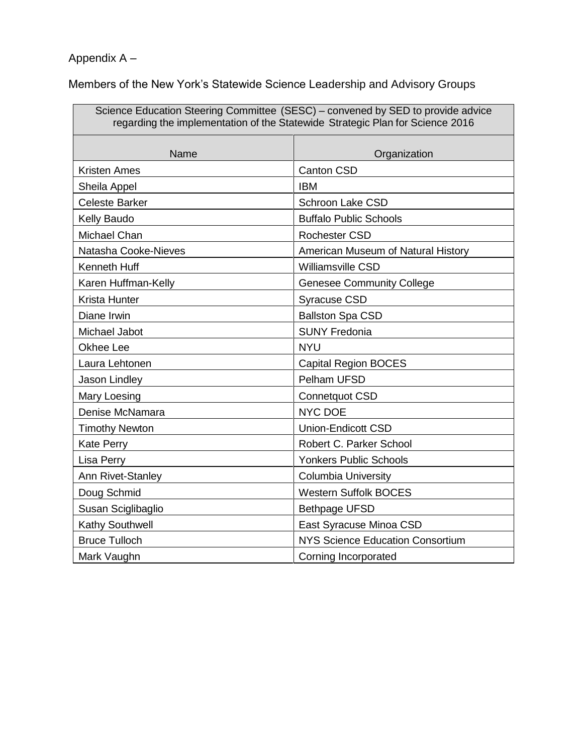# Appendix A –

Members of the New York's Statewide Science Leadership and Advisory Groups

| Science Education Steering Committee (SESC) – convened by SED to provide advice<br>regarding the implementation of the Statewide Strategic Plan for Science 2016 |                                         |  |
|------------------------------------------------------------------------------------------------------------------------------------------------------------------|-----------------------------------------|--|
| Name                                                                                                                                                             | Organization                            |  |
| <b>Kristen Ames</b>                                                                                                                                              | <b>Canton CSD</b>                       |  |
| Sheila Appel                                                                                                                                                     | <b>IBM</b>                              |  |
| <b>Celeste Barker</b>                                                                                                                                            | <b>Schroon Lake CSD</b>                 |  |
| Kelly Baudo                                                                                                                                                      | <b>Buffalo Public Schools</b>           |  |
| Michael Chan                                                                                                                                                     | <b>Rochester CSD</b>                    |  |
| Natasha Cooke-Nieves                                                                                                                                             | American Museum of Natural History      |  |
| <b>Kenneth Huff</b>                                                                                                                                              | <b>Williamsville CSD</b>                |  |
| Karen Huffman-Kelly                                                                                                                                              | <b>Genesee Community College</b>        |  |
| Krista Hunter                                                                                                                                                    | <b>Syracuse CSD</b>                     |  |
| Diane Irwin                                                                                                                                                      | <b>Ballston Spa CSD</b>                 |  |
| Michael Jabot                                                                                                                                                    | <b>SUNY Fredonia</b>                    |  |
| Okhee Lee                                                                                                                                                        | <b>NYU</b>                              |  |
| Laura Lehtonen                                                                                                                                                   | <b>Capital Region BOCES</b>             |  |
| Jason Lindley                                                                                                                                                    | Pelham UFSD                             |  |
| Mary Loesing                                                                                                                                                     | Connetquot CSD                          |  |
| Denise McNamara                                                                                                                                                  | <b>NYC DOE</b>                          |  |
| <b>Timothy Newton</b>                                                                                                                                            | <b>Union-Endicott CSD</b>               |  |
| <b>Kate Perry</b>                                                                                                                                                | Robert C. Parker School                 |  |
| Lisa Perry                                                                                                                                                       | <b>Yonkers Public Schools</b>           |  |
| Ann Rivet-Stanley                                                                                                                                                | <b>Columbia University</b>              |  |
| Doug Schmid                                                                                                                                                      | <b>Western Suffolk BOCES</b>            |  |
| Susan Sciglibaglio                                                                                                                                               | <b>Bethpage UFSD</b>                    |  |
| Kathy Southwell                                                                                                                                                  | East Syracuse Minoa CSD                 |  |
| <b>Bruce Tulloch</b>                                                                                                                                             | <b>NYS Science Education Consortium</b> |  |
| Mark Vaughn                                                                                                                                                      | Corning Incorporated                    |  |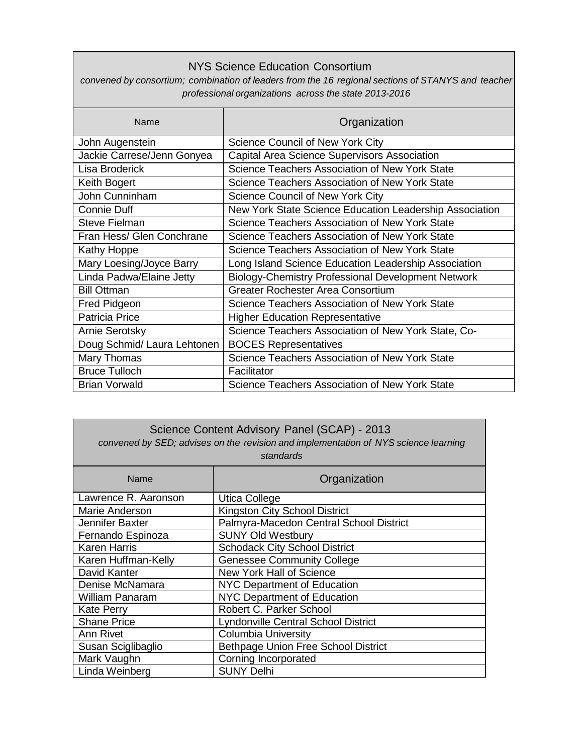## NYS Science Education Consortium

*convened by consortium; combination of leaders from the 16 regional sections of STANYS and teacher professional organizations across the state 2013-2016*

| Name                        | Organization                                            |
|-----------------------------|---------------------------------------------------------|
| John Augenstein             | Science Council of New York City                        |
| Jackie Carrese/Jenn Gonyea  | <b>Capital Area Science Supervisors Association</b>     |
| Lisa Broderick              | Science Teachers Association of New York State          |
| Keith Bogert                | Science Teachers Association of New York State          |
| John Cunninham              | Science Council of New York City                        |
| <b>Connie Duff</b>          | New York State Science Education Leadership Association |
| <b>Steve Fielman</b>        | Science Teachers Association of New York State          |
| Fran Hess/ Glen Conchrane   | Science Teachers Association of New York State          |
| Kathy Hoppe                 | Science Teachers Association of New York State          |
| Mary Loesing/Joyce Barry    | Long Island Science Education Leadership Association    |
| Linda Padwa/Elaine Jetty    | Biology-Chemistry Professional Development Network      |
| <b>Bill Ottman</b>          | <b>Greater Rochester Area Consortium</b>                |
| Fred Pidgeon                | Science Teachers Association of New York State          |
| <b>Patricia Price</b>       | <b>Higher Education Representative</b>                  |
| <b>Arnie Serotsky</b>       | Science Teachers Association of New York State, Co-     |
| Doug Schmid/ Laura Lehtonen | <b>BOCES Representatives</b>                            |
| Mary Thomas                 | Science Teachers Association of New York State          |
| <b>Bruce Tulloch</b>        | Facilitator                                             |
| <b>Brian Vorwald</b>        | Science Teachers Association of New York State          |

| Science Content Advisory Panel (SCAP) - 2013<br>convened by SED; advises on the revision and implementation of NYS science learning<br>standards |                                         |  |
|--------------------------------------------------------------------------------------------------------------------------------------------------|-----------------------------------------|--|
| Name                                                                                                                                             | Organization                            |  |
| Lawrence R. Aaronson                                                                                                                             | Utica College                           |  |
| Marie Anderson                                                                                                                                   | Kingston City School District           |  |
| Jennifer Baxter                                                                                                                                  | Palmyra-Macedon Central School District |  |
| Fernando Espinoza                                                                                                                                | <b>SUNY Old Westbury</b>                |  |
| Karen Harris                                                                                                                                     | <b>Schodack City School District</b>    |  |
| Karen Huffman-Kelly                                                                                                                              | <b>Genessee Community College</b>       |  |
| David Kanter                                                                                                                                     | <b>New York Hall of Science</b>         |  |
| Denise McNamara                                                                                                                                  | <b>NYC Department of Education</b>      |  |
| <b>William Panaram</b>                                                                                                                           | NYC Department of Education             |  |
| <b>Kate Perry</b>                                                                                                                                | Robert C. Parker School                 |  |
| <b>Shane Price</b>                                                                                                                               | Lyndonville Central School District     |  |
| Ann Rivet                                                                                                                                        | <b>Columbia University</b>              |  |
| Susan Sciglibaglio                                                                                                                               | Bethpage Union Free School District     |  |
| Mark Vaughn                                                                                                                                      | Corning Incorporated                    |  |
| Linda Weinberg                                                                                                                                   | <b>SUNY Delhi</b>                       |  |